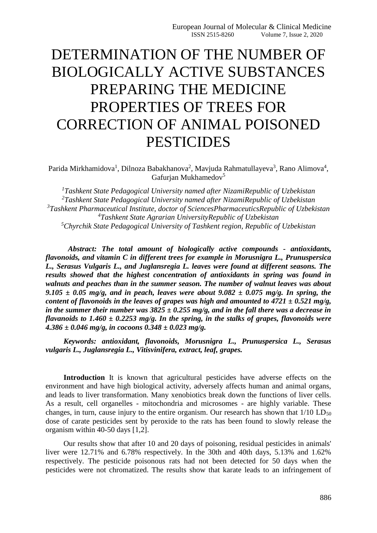# DETERMINATION OF THE NUMBER OF BIOLOGICALLY ACTIVE SUBSTANCES PREPARING THE MEDICINE PROPERTIES OF TREES FOR CORRECTION OF ANIMAL POISONED PESTICIDES

Parida Mirkhamidova<sup>1</sup>, Dilnoza Babakhanova<sup>2</sup>, Mavjuda Rahmatullayeva<sup>3</sup>, Rano Alimova<sup>4</sup>, Gafurian Mukhamedov<sup>5</sup>

*Tashkent State Pedagogical University named after NizamiRepublic of Uzbekistan Tashkent State Pedagogical University named after NizamiRepublic of Uzbekistan Tashkent Pharmaceutical Institute, doctor of SciencesPharmaceuticsRepublic of Uzbekistan Tashkent State Agrarian UniversityRepublic of Uzbekistan Chyrchik State Pedagogical University of Tashkent region, Republic of Uzbekistan*

*Abstract: The total amount of biologically active compounds - antioxidants, flavonoids, and vitamin C in different trees for example in Morusnigra L., Prunuspersica L., Serasus Vulgaris L., and Juglansregia L. leaves were found at different seasons. The results showed that the highest concentration of antioxidants in spring was found in walnuts and peaches than in the summer season. The number of walnut leaves was about*   $9.105 \pm 0.05$  mg/g, and in peach, leaves were about  $9.082 \pm 0.075$  mg/g. In spring, the *content of flavonoids in the leaves of grapes was high and amounted to 4721 ± 0.521 mg/g, in the summer their number was*  $3825 \pm 0.255$  *mg/g, and in the fall there was a decrease in flavanoids to 1.460 ± 0.2253 mg/g. In the spring, in the stalks of grapes, flavonoids were 4.386 ± 0.046 mg/g, in cocoons 0.348 ± 0.023 mg/g.*

*Keywords: antioxidant, flavonoids, Morusnigra L., Prunuspersica L., Serasus vulgaris L., Juglansregia L., Vitisvinifera, extract, leaf, grapes.*

**Introduction** It is known that agricultural pesticides have adverse effects on the environment and have high biological activity, adversely affects human and animal organs, and leads to liver transformation. Many xenobiotics break down the functions of liver cells. As a result, cell organelles - mitochondria and microsomes - are highly variable. These changes, in turn, cause injury to the entire organism. Our research has shown that  $1/10$  LD<sub>50</sub> dose of carate pesticides sent by peroxide to the rats has been found to slowly release the organism within 40-50 days [1,2].

Our results show that after 10 and 20 days of poisoning, residual pesticides in animals' liver were 12.71% and 6.78% respectively. In the 30th and 40th days, 5.13% and 1.62% respectively. The pesticide poisonous rats had not been detected for 50 days when the pesticides were not chromatized. The results show that karate leads to an infringement of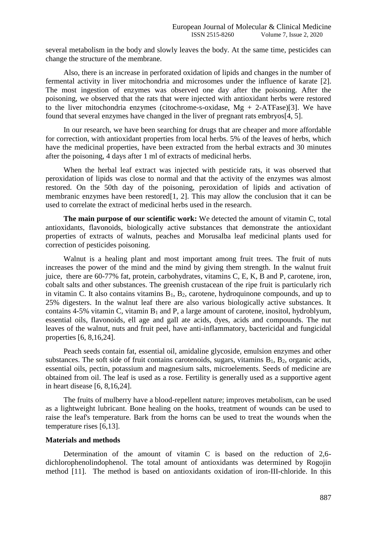several metabolism in the body and slowly leaves the body. At the same time, pesticides can change the structure of the membrane.

Also, there is an increase in perforated oxidation of lipids and changes in the number of fermental activity in liver mitochondria and microsomes under the influence of karate [2]. The most ingestion of enzymes was observed one day after the poisoning. After the poisoning, we observed that the rats that were injected with antioxidant herbs were restored to the liver mitochondria enzymes (citochrome-s-oxidase,  $Mg + 2-ATFase$ )[3]. We have found that several enzymes have changed in the liver of pregnant rats embryos[4, 5].

In our research, we have been searching for drugs that are cheaper and more affordable for correction, with antioxidant properties from local herbs. 5% of the leaves of herbs, which have the medicinal properties, have been extracted from the herbal extracts and 30 minutes after the poisoning, 4 days after 1 ml of extracts of medicinal herbs.

When the herbal leaf extract was injected with pesticide rats, it was observed that peroxidation of lipids was close to normal and that the activity of the enzymes was almost restored. On the 50th day of the poisoning, peroxidation of lipids and activation of membranic enzymes have been restored [1, 2]. This may allow the conclusion that it can be used to correlate the extract of medicinal herbs used in the research.

**The main purpose of our scientific work:** We detected the amount of vitamin C, total antioxidants, flavonoids, biologically active substances that demonstrate the antioxidant properties of extracts of walnuts, peaches and Morusalba leaf medicinal plants used for correction of pesticides poisoning.

Walnut is a healing plant and most important among fruit trees. The fruit of nuts increases the power of the mind and the mind by giving them strength. In the walnut fruit juice, there are 60-77% fat, protein, carbohydrates, vitamins C, E, K, B and P, carotene, iron, cobalt salts and other substances. The greenish crustacean of the ripe fruit is particularly rich in vitamin C. It also contains vitamins  $B_1$ ,  $B_2$ , carotene, hydroquinone compounds, and up to 25% digesters. In the walnut leaf there are also various biologically active substances. It contains 4-5% vitamin C, vitamin  $B_1$  and P, a large amount of carotene, inositol, hydroblyum, essential oils, flavonoids, ell age and gall ate acids, dyes, acids and compounds. The nut leaves of the walnut, nuts and fruit peel, have anti-inflammatory, bactericidal and fungicidal properties [6, 8,16,24].

Peach seeds contain fat, essential oil, amidaline glycoside, emulsion enzymes and other substances. The soft side of fruit contains carotenoids, sugars, vitamins  $B_1$ ,  $B_2$ , organic acids, essential oils, pectin, potassium and magnesium salts, microelements. Seeds of medicine are obtained from oil. The leaf is used as a rose. Fertility is generally used as a supportive agent in heart disease [6, 8,16,24].

The fruits of mulberry have a blood-repellent nature; improves metabolism, can be used as a lightweight lubricant. Bone healing on the hooks, treatment of wounds can be used to raise the leaf's temperature. Bark from the horns can be used to treat the wounds when the temperature rises [6,13].

## **Materials and methods**

Determination of the amount of vitamin C is based on the reduction of 2,6 dichlorophenolindophenol. The total amount of antioxidants was determined by Rogojin method [11]. The method is based on antioxidants oxidation of iron-III-chloride. In this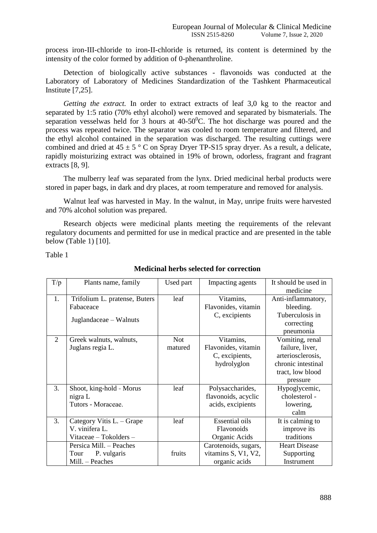process iron-III-chloride to iron-II-chloride is returned, its content is determined by the intensity of the color formed by addition of 0-phenanthroline.

Detection of biologically active substances - flavonoids was conducted at the Laboratory of Laboratory of Medicines Standardization of the Tashkent Pharmaceutical Institute [7,25].

*Getting the extract.* In order to extract extracts of leaf 3,0 kg to the reactor and separated by 1:5 ratio (70% ethyl alcohol) were removed and separated by bismaterials. The separation vesselwas held for 3 hours at  $40-50^{\circ}$ C. The hot discharge was poured and the process was repeated twice. The separator was cooled to room temperature and filtered, and the ethyl alcohol contained in the separation was discharged. The resulting cuttings were combined and dried at  $45 \pm 5$  ° C on Spray Dryer TP-S15 spray dryer. As a result, a delicate, rapidly moisturizing extract was obtained in 19% of brown, odorless, fragrant and fragrant extracts [8, 9].

The mulberry leaf was separated from the lynx. Dried medicinal herbal products were stored in paper bags, in dark and dry places, at room temperature and removed for analysis.

Walnut leaf was harvested in May. In the walnut, in May, unripe fruits were harvested and 70% alcohol solution was prepared.

Research objects were medicinal plants meeting the requirements of the relevant regulatory documents and permitted for use in medical practice and are presented in the table below (Table 1) [10].

Table 1

| T/p | Plants name, family           | Used part  | Impacting agents      | It should be used in |
|-----|-------------------------------|------------|-----------------------|----------------------|
|     |                               |            |                       | medicine             |
| 1.  | Trifolium L. pratense, Buters | leaf       | Vitamins,             | Anti-inflammatory,   |
|     | Fabaceace                     |            | Flavonides, vitamin   | bleeding.            |
|     |                               |            | C, excipients         | Tuberculosis in      |
|     | Juglandaceae – Walnuts        |            |                       | correcting           |
|     |                               |            |                       | pneumonia            |
| 2   | Greek walnuts, walnuts,       | <b>Not</b> | Vitamins,             | Vomiting, renal      |
|     | Juglans regia L.              | matured    | Flavonides, vitamin   | failure, liver,      |
|     |                               |            | C, excipients,        | arteriosclerosis,    |
|     |                               |            | hydrolyglon           | chronic intestinal   |
|     |                               |            |                       | tract, low blood     |
|     |                               |            |                       | pressure             |
| 3.  | Shoot, king-hold - Morus      | leaf       | Polysaccharides,      | Hypoglycemic,        |
|     | nigra L                       |            | flavonoids, acyclic   | cholesterol -        |
|     | Tutors - Moraceae.            |            | acids, excipients     | lowering,            |
|     |                               |            |                       | calm                 |
| 3.  | Category Vitis L. – Grape     | leaf       | <b>Essential oils</b> | It is calming to     |
|     | V. vinifera L.                |            | Flavonoids            | improve its          |
|     | Vitaceae - Tokolders -        |            | Organic Acids         | traditions           |
|     | Persica Mill. - Peaches       |            | Carotenoids, sugars,  | <b>Heart Disease</b> |
|     | P. vulgaris<br>Tour           | fruits     | vitamins S, V1, V2,   | Supporting           |
|     | Mill. - Peaches               |            | organic acids         | Instrument           |

## **Medicinal herbs selected for correction**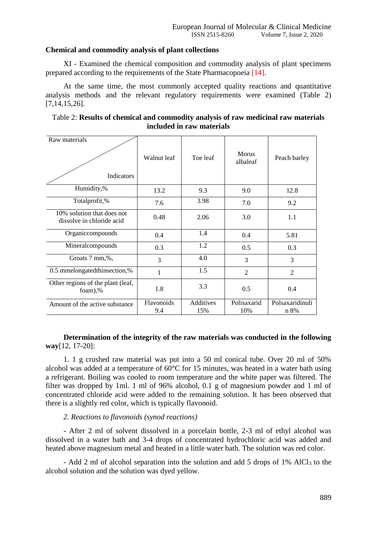## **Chemical and commodity analysis of plant collections**

XI - Examined the chemical composition and commodity analysis of plant specimens prepared according to the requirements of the State Pharmacopoeia [14].

At the same time, the most commonly accepted quality reactions and quantitative analysis methods and the relevant regulatory requirements were examined (Table 2) [7,14,15,26].

| Table 2: Results of chemical and commodity analysis of raw medicinal raw materials |  |  |  |
|------------------------------------------------------------------------------------|--|--|--|
| included in raw materials                                                          |  |  |  |

| Raw materials                                           | Walnut leaf       | Toe leaf         | <b>Morus</b><br>albaleaf | Peach barley            |
|---------------------------------------------------------|-------------------|------------------|--------------------------|-------------------------|
| Indicators                                              |                   |                  |                          |                         |
| Humidity,%                                              | 13.2              | 9.3              | 9.0                      | 12.8                    |
| Totalprofit,%                                           | 7.6               | 3.98             | 7.0                      | 9.2                     |
| 10% solution that does not<br>dissolve in chloride acid | 0.48              | 2.06             | 3.0                      | 1.1                     |
| Organiccompounds                                        | 0.4               | 1.4              | 0.4                      | 5.81                    |
| Mineralcompounds                                        | 0.3               | 1.2              | 0.5                      | 0.3                     |
| Groats 7 mm,%,                                          | 3                 | 4.0              | 3                        | 3                       |
| 0.5 mmelongatedthinsection,%                            | $\mathbf{1}$      | 1.5              | $\overline{2}$           | $\mathfrak{D}$          |
| Other regions of the plant (leaf,<br>foam),%            | 1.8               | 3.3              | 0.5                      | 0.4                     |
| Amount of the active substance                          | Flavonoids<br>9.4 | Additives<br>15% | Polisaxarid<br>10%       | Polsaxaridinuli<br>n 8% |

**Determination of the integrity of the raw materials was conducted in the following way**[12, 17-20]:

1. 1 g crushed raw material was put into a 50 ml conical tube. Over 20 ml of 50% alcohol was added at a temperature of 60°C for 15 minutes, was heated in a water bath using a refrigerant. Boiling was cooled to room temperature and the white paper was filtered. The filter was dropped by 1ml. 1 ml of 96% alcohol, 0.1 g of magnesium powder and 1 ml of concentrated chloride acid were added to the remaining solution. It has been observed that there is a slightly red color, which is typically flavonoid.

## *2. Reactions to flavonoids (synod reactions)*

- After 2 ml of solvent dissolved in a porcelain bottle, 2-3 ml of ethyl alcohol was dissolved in a water bath and 3-4 drops of concentrated hydrochloric acid was added and heated above magnesium metal and heated in a little water bath. The solution was red color.

- Add 2 ml of alcohol separation into the solution and add 5 drops of 1% AlCl<sub>3</sub> to the alcohol solution and the solution was dyed yellow.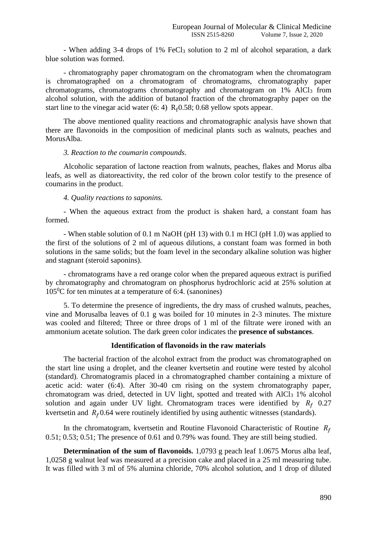- When adding 3-4 drops of 1% FeCl<sub>3</sub> solution to 2 ml of alcohol separation, a dark blue solution was formed.

- chromatography paper chromatogram on the chromatogram when the chromatogram is chromatographed on a chromatogram of chromatograms, chromatography paper chromatograms, chromatograms chromatography and chromatogram on 1% AlCl<sub>3</sub> from alcohol solution, with the addition of butanol fraction of the chromatography paper on the start line to the vinegar acid water  $(6: 4)$  R<sub>f</sub> $0.58$ ; 0.68 yellow spots appear.

The above mentioned quality reactions and chromatographic analysis have shown that there are flavonoids in the composition of medicinal plants such as walnuts, peaches and MorusAlba.

#### *3. Reaction to the coumarin compounds.*

Alcoholic separation of lactone reaction from walnuts, peaches, flakes and Morus alba leafs, as well as diatoreactivity, the red color of the brown color testify to the presence of coumarins in the product.

## *4. Quality reactions to saponins.*

- When the aqueous extract from the product is shaken hard, a constant foam has formed.

- When stable solution of 0.1 m NaOH (pH 13) with 0.1 m HCl (pH 1.0) was applied to the first of the solutions of 2 ml of aqueous dilutions, a constant foam was formed in both solutions in the same solids; but the foam level in the secondary alkaline solution was higher and stagnant (steroid saponins).

- chromatograms have a red orange color when the prepared aqueous extract is purified by chromatography and chromatogram on phosphorus hydrochloric acid at 25% solution at  $105\text{°C}$  for ten minutes at a temperature of 6:4. (sanonines)

5. To determine the presence of ingredients, the dry mass of crushed walnuts, peaches, vine and Morusalba leaves of 0.1 g was boiled for 10 minutes in 2-3 minutes. The mixture was cooled and filtered; Three or three drops of 1 ml of the filtrate were ironed with an ammonium acetate solution. The dark green color indicates the **presence of substances**.

### **Identification of flavonoids in the raw materials**

The bacterial fraction of the alcohol extract from the product was chromatographed on the start line using a droplet, and the cleaner kvertsetin and routine were tested by alcohol (standard). Chromatogramis placed in a chromatographed chamber containing a mixture of acetic acid: water (6:4). After 30-40 cm rising on the system chromatography paper, chromatogram was dried, detected in UV light, spotted and treated with AlCl<sub>3</sub> 1% alcohol solution and again under UV light. Chromatogram traces were identified by  $R_f$  0.27 kvertsetin and  $R_f$ 0.64 were routinely identified by using authentic witnesses (standards).

In the chromatogram, kvertsetin and Routine Flavonoid Characteristic of Routine  $R_f$ 0.51; 0.53; 0.51; The presence of 0.61 and 0.79% was found. They are still being studied.

**Determination of the sum of flavonoids.** 1,0793 g peach leaf 1.0675 Morus alba leaf, 1,0258 g walnut leaf was measured at a precision cake and placed in a 25 ml measuring tube. It was filled with 3 ml of 5% alumina chloride, 70% alcohol solution, and 1 drop of diluted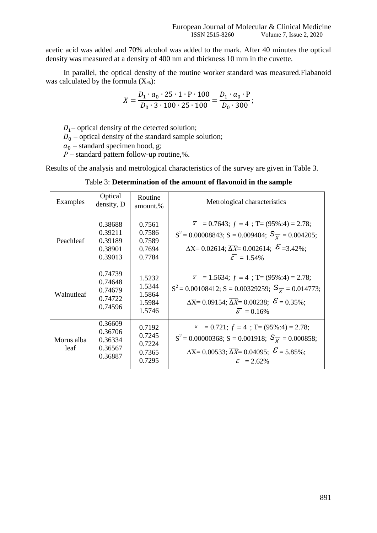acetic acid was added and 70% alcohol was added to the mark. After 40 minutes the optical density was measured at a density of 400 nm and thickness 10 mm in the cuvette.

In parallel, the optical density of the routine worker standard was measured.Flabanoid was calculated by the formula  $(X_{\%})$ :

$$
X = \frac{D_1 \cdot a_0 \cdot 25 \cdot 1 \cdot P \cdot 100}{D_0 \cdot 3 \cdot 100 \cdot 25 \cdot 100} = \frac{D_1 \cdot a_0 \cdot P}{D_0 \cdot 300};
$$

 $D_1$ – optical density of the detected solution;

 $D_0$  – optical density of the standard sample solution;

 $a_0$  – standard specimen hood, g;

*Р* – standard pattern follow-up routine,%.

Results of the analysis and metrological characteristics of the survey are given in Table 3.

Table 3: **Determination of the amount of flavonoid in the sample**

| Examples           | Optical<br>density, D                               | Routine<br>amount,%                            | Metrological characteristics                                                                                                                                                                                                                           |
|--------------------|-----------------------------------------------------|------------------------------------------------|--------------------------------------------------------------------------------------------------------------------------------------------------------------------------------------------------------------------------------------------------------|
| Peachleaf          | 0.38688<br>0.39211<br>0.39189<br>0.38901<br>0.39013 | 0.7561<br>0.7586<br>0.7589<br>0.7694<br>0.7784 | $\overline{x}$ = 0.7643; $f = 4$ ; T= (95%:4) = 2.78;<br>$S^2 = 0.00008843$ ; S = 0.009404; $S_{\overline{Y}} = 0.004205$ ;<br>$\Delta X = 0.02614$ ; $\overline{\Delta X} = 0.002614$ ; $\mathcal{E} = 3.42\%$ ;<br>$\overline{\varepsilon}$ = 1.54%  |
| Walnutleaf         | 0.74739<br>0.74648<br>0.74679<br>0.74722<br>0.74596 | 1.5232<br>1.5344<br>1.5864<br>1.5984<br>1.5746 | $\overline{x}$ = 1.5634; $f = 4$ ; T= (95%:4) = 2.78;<br>$S^2 = 0.00108412$ ; S = 0.00329259; $S_{\overline{X}} = 0.014773$ ;<br>$\Delta X = 0.09154$ ; $\overline{\Delta X} = 0.00238$ ; $\mathcal{E} = 0.35\%$ ;<br>$\overline{\varepsilon}$ = 0.16% |
| Morus alba<br>leaf | 0.36609<br>0.36706<br>0.36334<br>0.36567<br>0.36887 | 0.7192<br>0.7245<br>0.7224<br>0.7365<br>0.7295 | $\overline{x}$ = 0.721; $f = 4$ ; T= (95%:4) = 2.78;<br>$S^2 = 0.00000368$ ; S = 0.001918; $S_{\overline{X}} = 0.000858$ ;<br>$\Delta X = 0.00533; \overline{\Delta X} = 0.04095; \ \mathcal{E} = 5.85\%;$<br>$\mathcal{E} = 2.62\%$                   |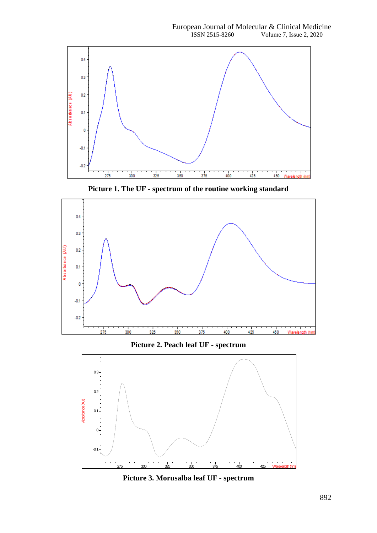

**Picture 1. The UF - spectrum of the routine working standard**



**Picture 2. Peach leaf UF - spectrum**



**Picture 3. Morusalba leaf UF - spectrum**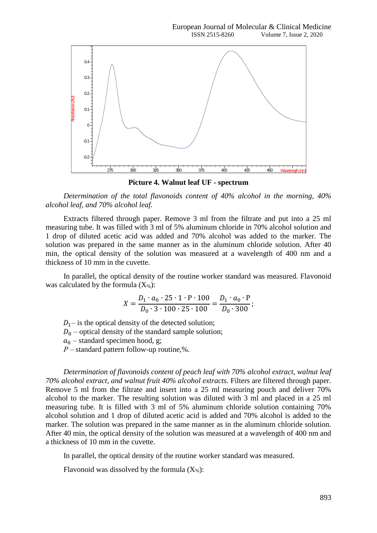

**Picture 4. Walnut leaf UF - spectrum**

*Determination of the total flavonoids content of 40% alcohol in the morning, 40% alcohol leaf, and 70% alcohol leaf.*

Extracts filtered through paper. Remove 3 ml from the filtrate and put into a 25 ml measuring tube. It was filled with 3 ml of 5% aluminum chloride in 70% alcohol solution and 1 drop of diluted acetic acid was added and 70% alcohol was added to the marker. The solution was prepared in the same manner as in the aluminum chloride solution. After 40 min, the optical density of the solution was measured at a wavelength of 400 nm and a thickness of 10 mm in the cuvette.

In parallel, the optical density of the routine worker standard was measured. Flavonoid was calculated by the formula  $(X_{\%})$ :

$$
X = \frac{D_1 \cdot a_0 \cdot 25 \cdot 1 \cdot P \cdot 100}{D_0 \cdot 3 \cdot 100 \cdot 25 \cdot 100} = \frac{D_1 \cdot a_0 \cdot P}{D_0 \cdot 300};
$$

 $D_1$ – is the optical density of the detected solution;

 $D_0$  – optical density of the standard sample solution;

 $a_0$  – standard specimen hood, g;

*Р* – standard pattern follow-up routine,%.

*Determination of flavonoids content of peach leaf with 70% alcohol extract, walnut leaf 70% alcohol extract, and walnut fruit 40% alcohol extracts.* Filters are filtered through paper. Remove 5 ml from the filtrate and insert into a 25 ml measuring pouch and deliver 70% alcohol to the marker. The resulting solution was diluted with 3 ml and placed in a 25 ml measuring tube. It is filled with 3 ml of 5% aluminum chloride solution containing 70% alcohol solution and 1 drop of diluted acetic acid is added and 70% alcohol is added to the marker. The solution was prepared in the same manner as in the aluminum chloride solution. After 40 min, the optical density of the solution was measured at a wavelength of 400 nm and a thickness of 10 mm in the cuvette.

In parallel, the optical density of the routine worker standard was measured.

Flavonoid was dissolved by the formula  $(X_{\%})$ :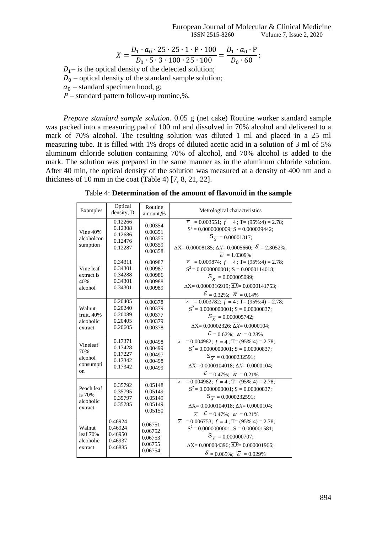European Journal of Molecular & Clinical Medicine ISSN 2515-8260 Volume 7, Issue 2, 2020

$$
X = \frac{D_1 \cdot a_0 \cdot 25 \cdot 25 \cdot 1 \cdot P \cdot 100}{D_0 \cdot 5 \cdot 3 \cdot 100 \cdot 25 \cdot 100} = \frac{D_1 \cdot a_0 \cdot P}{D_0 \cdot 60};
$$

 $D_1$ – is the optical density of the detected solution;

 $D_0$  – optical density of the standard sample solution;

 $a_0$  – standard specimen hood, g;

*Р* – standard pattern follow-up routine,%.

*Prepare standard sample solution.* 0.05 g (net cake) Routine worker standard sample was packed into a measuring pad of 100 ml and dissolved in 70% alcohol and delivered to a mark of 70% alcohol. The resulting solution was diluted 1 ml and placed in a 25 ml measuring tube. It is filled with 1% drops of diluted acetic acid in a solution of 3 ml of 5% aluminum chloride solution containing 70% of alcohol, and 70% alcohol is added to the mark. The solution was prepared in the same manner as in the aluminum chloride solution. After 40 min, the optical density of the solution was measured at a density of 400 nm and a thickness of 10 mm in the coat (Table 4) [7, 8, 21, 22].

Table 4: **Determination of the amount of flavonoid in the sample**

| Examples                                      | Optical<br>density, D                               | Routine<br>amount,%                                 | Metrological characteristics                                                                                                                                                                                                                                                            |
|-----------------------------------------------|-----------------------------------------------------|-----------------------------------------------------|-----------------------------------------------------------------------------------------------------------------------------------------------------------------------------------------------------------------------------------------------------------------------------------------|
| Vine 40%<br>alcoholcon<br>sumption            | 0.12266<br>0.12308<br>0.12686<br>0.12476<br>0.12287 | 0.00354<br>0.00351<br>0.00355<br>0.00359<br>0.00358 | $\overline{x}$ = 0.003551; $f = 4$ ; T= (95%:4) = 2.78;<br>$S^2 = 0.0000000009$ ; S = 0.000029442;<br>$S_{\overline{X}} = 0.00001317;$<br>$\Delta X = 0.00008185$ ; $\overline{\Delta X} = 0.0005660$ ; $\mathcal{E} = 2.3052\%$ ;<br>$\overline{\mathcal{E}}=1.0309\%$                 |
| Vine leaf<br>extract is<br>40%<br>alcohol     | 0.34311<br>0.34301<br>0.34288<br>0.34301<br>0.34301 | 0.00987<br>0.00987<br>0.00986<br>0.00988<br>0.00989 | $= 0.009874$ ; $f = 4$ ; T= (95%:4) = 2.78;<br>$\overline{x}$<br>$S^2 = 0.0000000001$ ; S = 0.0000114018;<br>$S_{\overline{X}} = 0.000005099;$<br>$\Delta X = 0.0000316919; \overline{\Delta X} = 0.0000141753;$<br>$\mathcal{E} = 0.32\%$ ; $\bar{\mathcal{E}} = 0.14\%$               |
| Walnut<br>fruit, 40%<br>alcoholic<br>extract  | 0.20405<br>0.20240<br>0.20089<br>0.20405<br>0.20605 | 0.00378<br>0.00379<br>0.00377<br>0.00379<br>0.00378 | $\overline{x}$ = 0.003782; $f = 4$ ; T= (95%:4) = 2.78;<br>$S^2 = 0.0000000001$ ; S = 0.00000837;<br>$S_{\overline{X}} = 0.000005742;$<br>$\Delta X = 0.00002326; \overline{\Delta X} = 0.0000104;$<br>$\mathcal{E} = 0.62\%$ ; $\bar{\mathcal{E}} = 0.28\%$                            |
| Vineleaf<br>70%<br>alcohol<br>consumpti<br>on | 0.17371<br>0.17428<br>0.17227<br>0.17342<br>0.17342 | 0.00498<br>0.00499<br>0.00497<br>0.00498<br>0.00499 | $\overline{x}$ = 0.004982; $f = 4$ ; T= (95%:4) = 2.78;<br>$S^2 = 0.0000000001$ ; S = 0.00000837;<br>$S_{\overline{X}} = 0.0000232591;$<br>$\Delta X = 0.0000104018$ ; $\overline{\Delta X} = 0.0000104$ ;<br>$\mathcal{E} = 0.47\%$ ; $\bar{\mathcal{E}} = 0.21\%$                     |
| Peach leaf<br>is 70%<br>alcoholic<br>extract  | 0.35792<br>0.35795<br>0.35797<br>0.35785            | 0.05148<br>0.05149<br>0.05149<br>0.05149<br>0.05150 | $\overline{x}$ = 0.004982; $f = 4$ ; T= (95%:4) = 2.78;<br>$S^2 = 0.0000000001$ ; S = 0.00000837;<br>$S_{\overline{X}} = 0.0000232591;$<br>$\Delta X = 0.0000104018$ ; $\overline{\Delta X} = 0.0000104$ ;<br>$\overline{x}$ $\mathcal{E} = 0.47\%$ ; $\overline{\mathcal{E}} = 0.21\%$ |
| Walnut<br>leaf $70%$<br>alcoholic<br>extract  | 0.46924<br>0.46924<br>0.46950<br>0.46937<br>0.46885 | 0.06751<br>0.06752<br>0.06753<br>0.06755<br>0.06754 | $= 0.006753$ ; $f = 4$ ; T= (95%:4) = 2.78;<br>$\overline{x}$<br>$S^2 = 0.0000000001$ ; S = 0.000001581;<br>$S_{\overline{X}} = 0.000000707;$<br>$\Delta X = 0.000004396; \overline{\Delta X} = 0.000001966;$<br>$\mathcal{E} = 0.065\%$ ; $\overline{\mathcal{E}} = 0.029\%$           |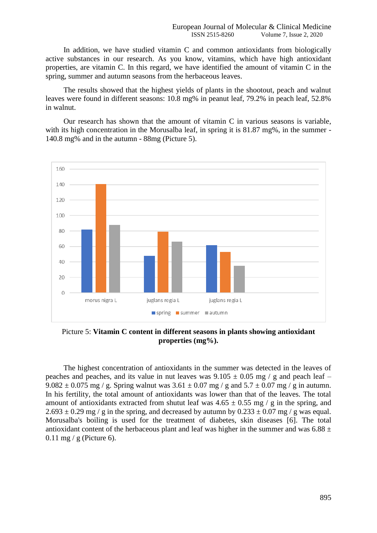In addition, we have studied vitamin C and common antioxidants from biologically active substances in our research. As you know, vitamins, which have high antioxidant properties, are vitamin C. In this regard, we have identified the amount of vitamin C in the spring, summer and autumn seasons from the herbaceous leaves.

The results showed that the highest yields of plants in the shootout, peach and walnut leaves were found in different seasons: 10.8 mg% in peanut leaf, 79.2% in peach leaf, 52.8% in walnut.

Our research has shown that the amount of vitamin C in various seasons is variable, with its high concentration in the Morusalba leaf, in spring it is  $81.87 \text{ mg}\%$ , in the summer -140.8 mg% and in the autumn - 88mg (Picture 5).



Picture 5: **Vitamin C content in different seasons in plants showing antioxidant properties (mg%).**

The highest concentration of antioxidants in the summer was detected in the leaves of peaches and peaches, and its value in nut leaves was  $9.105 \pm 0.05$  mg / g and peach leaf –  $9.082 \pm 0.075$  mg / g. Spring walnut was  $3.61 \pm 0.07$  mg / g and  $5.7 \pm 0.07$  mg / g in autumn. In his fertility, the total amount of antioxidants was lower than that of the leaves. The total amount of antioxidants extracted from shutut leaf was  $4.65 \pm 0.55$  mg / g in the spring, and  $2.693 \pm 0.29$  mg / g in the spring, and decreased by autumn by  $0.233 \pm 0.07$  mg / g was equal. Morusalba's boiling is used for the treatment of diabetes, skin diseases [6]. The total antioxidant content of the herbaceous plant and leaf was higher in the summer and was  $6.88 \pm$  $0.11$  mg / g (Picture 6).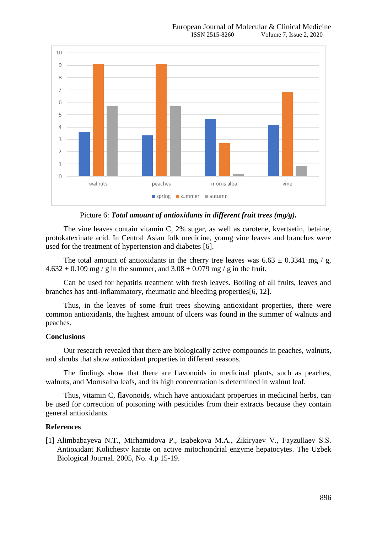

Picture 6: *Total amount of antioxidants in different fruit trees (mg/g).*

The vine leaves contain vitamin C, 2% sugar, as well as carotene, kvertsetin, betaine, protokatexinate acid. In Central Asian folk medicine, young vine leaves and branches were used for the treatment of hypertension and diabetes [6].

The total amount of antioxidants in the cherry tree leaves was  $6.63 \pm 0.3341$  mg / g,  $4.632 \pm 0.109$  mg / g in the summer, and  $3.08 \pm 0.079$  mg / g in the fruit.

Can be used for hepatitis treatment with fresh leaves. Boiling of all fruits, leaves and branches has anti-inflammatory, rheumatic and bleeding properties[6, 12].

Thus, in the leaves of some fruit trees showing antioxidant properties, there were common antioxidants, the highest amount of ulcers was found in the summer of walnuts and peaches.

## **Conclusions**

Our research revealed that there are biologically active compounds in peaches, walnuts, and shrubs that show antioxidant properties in different seasons.

The findings show that there are flavonoids in medicinal plants, such as peaches, walnuts, and Morusalba leafs, and its high concentration is determined in walnut leaf.

Thus, vitamin C, flavonoids, which have antioxidant properties in medicinal herbs, can be used for correction of poisoning with pesticides from their extracts because they contain general antioxidants.

## **References**

[1] Alimbabayeva N.T., Mirhamidova P., Isabekova М.А., Zikiryaev V., Fayzullaev S.S. Antioxidant Kolichestv karate on active mitochondrial enzyme hepatocytes. The Uzbek Biological Journal. 2005, No. 4.p 15-19.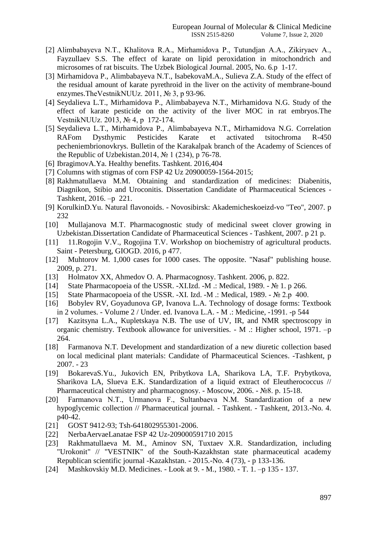- [2] Alimbabayeva N.T., Khalitova R.A., Mirhamidova P., Tutundjan A.А., Zikiryaev A., Fayzullaev S.S. The effect of karate on lipid peroxidation in mitochondrich and microsomes of rat biscuits. The Uzbek Biological Journal. 2005, No. 6.p 1-17.
- [3] Mirhamidova P., Alimbabayeva N.T., IsabekovaM.A., Sulieva Z.A. Study of the effect of the residual amount of karate pyrethroid in the liver on the activity of membrane-bound enzymes.TheVestnikNUUz. 2011, № 3, p 93-96.
- [4] Seydalieva L.T., Mirhamidova P., Alimbabayeva N.T., Mirhamidova N.G. Study of the effect of karate pesticide on the activity of the liver MOC in rat embryos.The VestnikNUUz. 2013, № 4, p 172-174.
- [5] Seydalieva L.T., Mirhamidova P., Alimbabayeva N.T., Mirhamidova N.G. Correlation RAFom Dysthymic Pesticides Karate et activated tsitochroma R-450 pecheniembrionovkrys. Bulletin of the Karakalpak branch of the Academy of Sciences of the Republic of Uzbekistan.2014, № 1 (234), p 76-78.
- [6] IbragimovA.Ya. Healthy benefits. Tashkent. 2016,404
- [7] Columns with stigmas of corn FSP 42 Uz 20900059-1564-2015;
- [8] Rakhmatullaeva M.M. Obtaining and standardization of medicines: Diabenitis, Diagnikon, Stibio and Uroconitis. Dissertation Candidate of Pharmaceutical Sciences - Tashkent, 2016. –p 221.
- [9] KorulkinD.Yu. Natural flavonoids. Novosibirsk: Akademicheskoeizd-vo "Teo", 2007. p 232
- [10] Mullajanova M.T. Pharmacognostic study of medicinal sweet clover growing in Uzbekistan.Dissertation Candidate of Pharmaceutical Sciences - Tashkent, 2007. p 21 p.
- [11] 11.Rogojin V.V., Rogojina T.V. Workshop on biochemistry of agricultural products. Saint - Petersburg, GIOGD. 2016, p 477.
- [12] Muhtorov M. 1,000 cases for 1000 cases. The opposite. "Nasaf" publishing house. 2009, p. 271.
- [13] Holmatov XX, Ahmedov O. A. Pharmacognosy. Tashkent. 2006, p. 822.
- [14] State Pharmacopoeia of the USSR. -XI.Izd. -M .: Medical, 1989. № 1. p 266.
- [15] State Pharmacopoeia of the USSR. -XI. Izd. -M .: Medical, 1989. № 2.p 400.
- [16] Bobylev RV, Goyadunova GP, Ivanova L.A. Technology of dosage forms: Textbook in 2 volumes. - Volume 2 / Under. ed. Ivanova L.A. - M .: Medicine, -1991. -p 544
- [17] Kazitsyna L.A., Kupletskaya N.B. The use of UV, IR, and NMR spectroscopy in organic chemistry. Textbook allowance for universities. - M .: Higher school, 1971. –p 264.
- [18] Farmanova N.T. Development and standardization of a new diuretic collection based on local medicinal plant materials: Candidate of Pharmaceutical Sciences. -Tashkent, p 2007. - 23
- [19] BokarevaS.Yu., Jukovich EN, Pribytkova LA, Sharikova LA, T.F. Prybytkova, Sharikova LA, Slueva E.K. Standardization of a liquid extract of Eleutherococcus // Pharmaceutical chemistry and pharmacognosy. - Moscow, 2006. - №8. p. 15-18.
- [20] Farmanova N.T., Urmanova F., Sultanbaeva N.M. Standardization of a new hypoglycemic collection // Pharmaceutical journal. - Tashkent. - Tashkent, 2013.-No. 4. p40-42.
- [21] GOST 9412-93; Tsh-641802955301-2006.
- [22] NerbaAervaeLanatae FSP 42 Uz-209000591710 2015
- [23] Rakhmatullaeva M. M., Aminov SN, Tuxtaev X.R. Standardization, including "Urokonit" // "VESTNIK" of the South-Kazakhstan state pharmaceutical academy Republican scientific journal -Kazakhstan. - 2015.-No. 4 (73), - p 133-136.
- [24] Mashkovskiy M.D. Medicines. Look at 9. M., 1980. T. 1. –p 135 137.